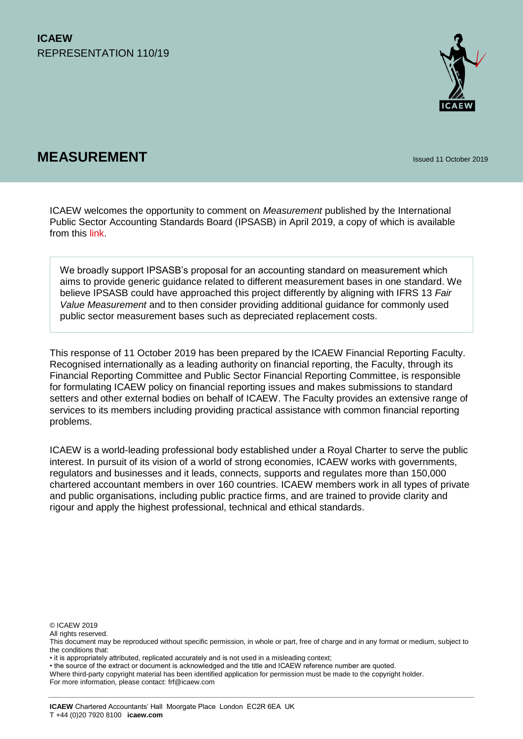

# **MEASUREMENT Issued 11 October 2019**

ICAEW welcomes the opportunity to comment on *Measurement* published by the International Public Sector Accounting Standards Board (IPSASB) in April 2019, a copy of which is available from this [link.](https://www.ifac.org/news-events/2019-04/ipsasb-seeks-comments-measurement-proposals)

We broadly support IPSASB's proposal for an accounting standard on measurement which aims to provide generic guidance related to different measurement bases in one standard. We believe IPSASB could have approached this project differently by aligning with IFRS 13 *Fair Value Measurement* and to then consider providing additional guidance for commonly used public sector measurement bases such as depreciated replacement costs.

This response of 11 October 2019 has been prepared by the ICAEW Financial Reporting Faculty. Recognised internationally as a leading authority on financial reporting, the Faculty, through its Financial Reporting Committee and Public Sector Financial Reporting Committee, is responsible for formulating ICAEW policy on financial reporting issues and makes submissions to standard setters and other external bodies on behalf of ICAEW. The Faculty provides an extensive range of services to its members including providing practical assistance with common financial reporting problems.

ICAEW is a world-leading professional body established under a Royal Charter to serve the public interest. In pursuit of its vision of a world of strong economies, ICAEW works with governments, regulators and businesses and it leads, connects, supports and regulates more than 150,000 chartered accountant members in over 160 countries. ICAEW members work in all types of private and public organisations, including public practice firms, and are trained to provide clarity and rigour and apply the highest professional, technical and ethical standards.

© ICAEW 2019

All rights reserved.

• the source of the extract or document is acknowledged and the title and ICAEW reference number are quoted.

For more information, please contact: frf@icaew.com

This document may be reproduced without specific permission, in whole or part, free of charge and in any format or medium, subject to the conditions that:

<sup>•</sup> it is appropriately attributed, replicated accurately and is not used in a misleading context;

Where third-party copyright material has been identified application for permission must be made to the copyright holder.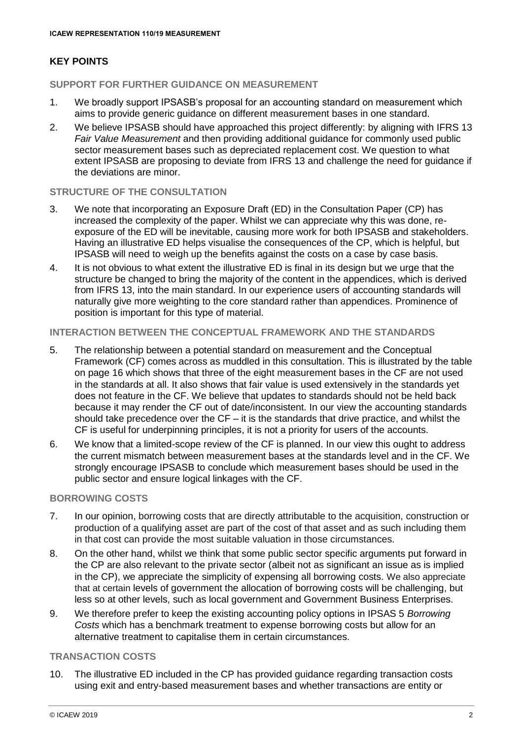# **KEY POINTS**

## **SUPPORT FOR FURTHER GUIDANCE ON MEASUREMENT**

- 1. We broadly support IPSASB's proposal for an accounting standard on measurement which aims to provide generic guidance on different measurement bases in one standard.
- 2. We believe IPSASB should have approached this project differently: by aligning with IFRS 13 *Fair Value Measurement* and then providing additional guidance for commonly used public sector measurement bases such as depreciated replacement cost. We question to what extent IPSASB are proposing to deviate from IFRS 13 and challenge the need for guidance if the deviations are minor.

## **STRUCTURE OF THE CONSULTATION**

- 3. We note that incorporating an Exposure Draft (ED) in the Consultation Paper (CP) has increased the complexity of the paper. Whilst we can appreciate why this was done, reexposure of the ED will be inevitable, causing more work for both IPSASB and stakeholders. Having an illustrative ED helps visualise the consequences of the CP, which is helpful, but IPSASB will need to weigh up the benefits against the costs on a case by case basis.
- 4. It is not obvious to what extent the illustrative ED is final in its design but we urge that the structure be changed to bring the majority of the content in the appendices, which is derived from IFRS 13, into the main standard. In our experience users of accounting standards will naturally give more weighting to the core standard rather than appendices. Prominence of position is important for this type of material.

## **INTERACTION BETWEEN THE CONCEPTUAL FRAMEWORK AND THE STANDARDS**

- 5. The relationship between a potential standard on measurement and the Conceptual Framework (CF) comes across as muddled in this consultation. This is illustrated by the table on page 16 which shows that three of the eight measurement bases in the CF are not used in the standards at all. It also shows that fair value is used extensively in the standards yet does not feature in the CF. We believe that updates to standards should not be held back because it may render the CF out of date/inconsistent. In our view the accounting standards should take precedence over the CF – it is the standards that drive practice, and whilst the CF is useful for underpinning principles, it is not a priority for users of the accounts.
- 6. We know that a limited-scope review of the CF is planned. In our view this ought to address the current mismatch between measurement bases at the standards level and in the CF. We strongly encourage IPSASB to conclude which measurement bases should be used in the public sector and ensure logical linkages with the CF.

#### **BORROWING COSTS**

- 7. In our opinion, borrowing costs that are directly attributable to the acquisition, construction or production of a qualifying asset are part of the cost of that asset and as such including them in that cost can provide the most suitable valuation in those circumstances.
- 8. On the other hand, whilst we think that some public sector specific arguments put forward in the CP are also relevant to the private sector (albeit not as significant an issue as is implied in the CP), we appreciate the simplicity of expensing all borrowing costs. We also appreciate that at certain levels of government the allocation of borrowing costs will be challenging, but less so at other levels, such as local government and Government Business Enterprises.
- 9. We therefore prefer to keep the existing accounting policy options in IPSAS 5 *Borrowing Costs* which has a benchmark treatment to expense borrowing costs but allow for an alternative treatment to capitalise them in certain circumstances.

## **TRANSACTION COSTS**

10. The illustrative ED included in the CP has provided guidance regarding transaction costs using exit and entry-based measurement bases and whether transactions are entity or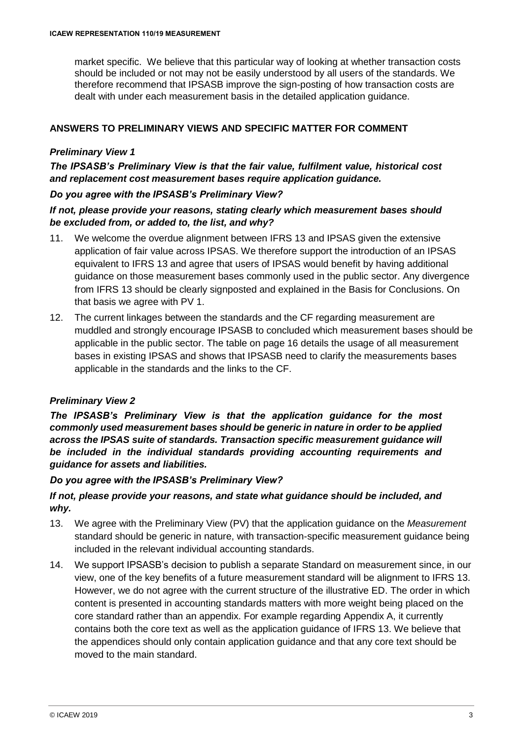market specific. We believe that this particular way of looking at whether transaction costs should be included or not may not be easily understood by all users of the standards. We therefore recommend that IPSASB improve the sign-posting of how transaction costs are dealt with under each measurement basis in the detailed application guidance.

## **ANSWERS TO PRELIMINARY VIEWS AND SPECIFIC MATTER FOR COMMENT**

## *Preliminary View 1*

# *The IPSASB's Preliminary View is that the fair value, fulfilment value, historical cost and replacement cost measurement bases require application guidance.*

## *Do you agree with the IPSASB's Preliminary View?*

## *If not, please provide your reasons, stating clearly which measurement bases should be excluded from, or added to, the list, and why?*

- 11. We welcome the overdue alignment between IFRS 13 and IPSAS given the extensive application of fair value across IPSAS. We therefore support the introduction of an IPSAS equivalent to IFRS 13 and agree that users of IPSAS would benefit by having additional guidance on those measurement bases commonly used in the public sector. Any divergence from IFRS 13 should be clearly signposted and explained in the Basis for Conclusions. On that basis we agree with PV 1.
- 12. The current linkages between the standards and the CF regarding measurement are muddled and strongly encourage IPSASB to concluded which measurement bases should be applicable in the public sector. The table on page 16 details the usage of all measurement bases in existing IPSAS and shows that IPSASB need to clarify the measurements bases applicable in the standards and the links to the CF.

## *Preliminary View 2*

*The IPSASB's Preliminary View is that the application guidance for the most commonly used measurement bases should be generic in nature in order to be applied across the IPSAS suite of standards. Transaction specific measurement guidance will be included in the individual standards providing accounting requirements and guidance for assets and liabilities.*

## *Do you agree with the IPSASB's Preliminary View?*

# *If not, please provide your reasons, and state what guidance should be included, and why.*

- 13. We agree with the Preliminary View (PV) that the application guidance on the *Measurement* standard should be generic in nature, with transaction-specific measurement guidance being included in the relevant individual accounting standards.
- 14. We support IPSASB's decision to publish a separate Standard on measurement since, in our view, one of the key benefits of a future measurement standard will be alignment to IFRS 13. However, we do not agree with the current structure of the illustrative ED. The order in which content is presented in accounting standards matters with more weight being placed on the core standard rather than an appendix. For example regarding Appendix A, it currently contains both the core text as well as the application guidance of IFRS 13. We believe that the appendices should only contain application guidance and that any core text should be moved to the main standard.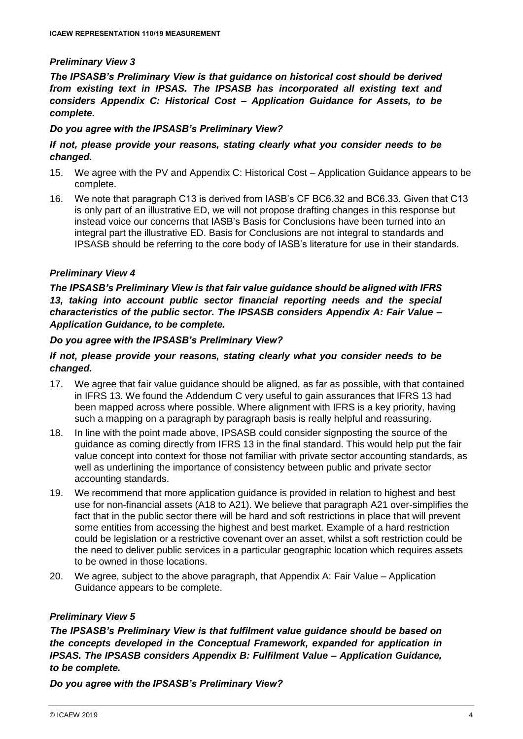## *Preliminary View 3*

*The IPSASB's Preliminary View is that guidance on historical cost should be derived from existing text in IPSAS. The IPSASB has incorporated all existing text and considers Appendix C: Historical Cost – Application Guidance for Assets, to be complete.*

## *Do you agree with the IPSASB's Preliminary View?*

## *If not, please provide your reasons, stating clearly what you consider needs to be changed.*

- 15. We agree with the PV and Appendix C: Historical Cost Application Guidance appears to be complete.
- 16. We note that paragraph C13 is derived from IASB's CF BC6.32 and BC6.33. Given that C13 is only part of an illustrative ED, we will not propose drafting changes in this response but instead voice our concerns that IASB's Basis for Conclusions have been turned into an integral part the illustrative ED. Basis for Conclusions are not integral to standards and IPSASB should be referring to the core body of IASB's literature for use in their standards.

## *Preliminary View 4*

*The IPSASB's Preliminary View is that fair value guidance should be aligned with IFRS*  13, taking into account public sector financial reporting needs and the special *characteristics of the public sector. The IPSASB considers Appendix A: Fair Value – Application Guidance, to be complete.*

#### *Do you agree with the IPSASB's Preliminary View?*

## *If not, please provide your reasons, stating clearly what you consider needs to be changed.*

- 17. We agree that fair value guidance should be aligned, as far as possible, with that contained in IFRS 13. We found the Addendum C very useful to gain assurances that IFRS 13 had been mapped across where possible. Where alignment with IFRS is a key priority, having such a mapping on a paragraph by paragraph basis is really helpful and reassuring.
- 18. In line with the point made above, IPSASB could consider signposting the source of the guidance as coming directly from IFRS 13 in the final standard. This would help put the fair value concept into context for those not familiar with private sector accounting standards, as well as underlining the importance of consistency between public and private sector accounting standards.
- 19. We recommend that more application guidance is provided in relation to highest and best use for non-financial assets (A18 to A21). We believe that paragraph A21 over-simplifies the fact that in the public sector there will be hard and soft restrictions in place that will prevent some entities from accessing the highest and best market. Example of a hard restriction could be legislation or a restrictive covenant over an asset, whilst a soft restriction could be the need to deliver public services in a particular geographic location which requires assets to be owned in those locations.
- 20. We agree, subject to the above paragraph, that Appendix A: Fair Value Application Guidance appears to be complete.

## *Preliminary View 5*

*The IPSASB's Preliminary View is that fulfilment value guidance should be based on the concepts developed in the Conceptual Framework, expanded for application in IPSAS. The IPSASB considers Appendix B: Fulfilment Value – Application Guidance, to be complete.*

*Do you agree with the IPSASB's Preliminary View?*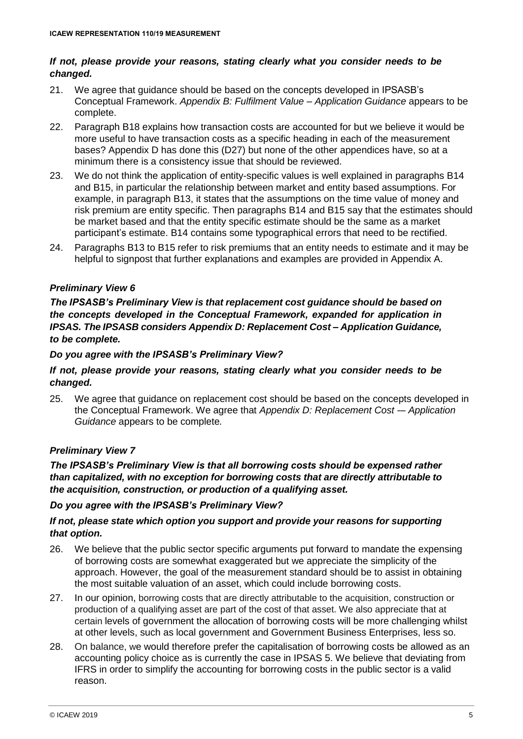## *If not, please provide your reasons, stating clearly what you consider needs to be changed.*

- 21. We agree that guidance should be based on the concepts developed in IPSASB's Conceptual Framework. *Appendix B: Fulfilment Value – Application Guidance* appears to be complete.
- 22. Paragraph B18 explains how transaction costs are accounted for but we believe it would be more useful to have transaction costs as a specific heading in each of the measurement bases? Appendix D has done this (D27) but none of the other appendices have, so at a minimum there is a consistency issue that should be reviewed.
- 23. We do not think the application of entity-specific values is well explained in paragraphs B14 and B15, in particular the relationship between market and entity based assumptions. For example, in paragraph B13, it states that the assumptions on the time value of money and risk premium are entity specific. Then paragraphs B14 and B15 say that the estimates should be market based and that the entity specific estimate should be the same as a market participant's estimate. B14 contains some typographical errors that need to be rectified.
- 24. Paragraphs B13 to B15 refer to risk premiums that an entity needs to estimate and it may be helpful to signpost that further explanations and examples are provided in Appendix A.

# *Preliminary View 6*

*The IPSASB's Preliminary View is that replacement cost guidance should be based on the concepts developed in the Conceptual Framework, expanded for application in IPSAS. The IPSASB considers Appendix D: Replacement Cost – Application Guidance, to be complete.*

## *Do you agree with the IPSASB's Preliminary View?*

# *If not, please provide your reasons, stating clearly what you consider needs to be changed.*

25. We agree that guidance on replacement cost should be based on the concepts developed in the Conceptual Framework. We agree that *Appendix D: Replacement Cost -– Application Guidance* appears to be complete*.*

# *Preliminary View 7*

*The IPSASB's Preliminary View is that all borrowing costs should be expensed rather than capitalized, with no exception for borrowing costs that are directly attributable to the acquisition, construction, or production of a qualifying asset.*

## *Do you agree with the IPSASB's Preliminary View?*

# *If not, please state which option you support and provide your reasons for supporting that option.*

- 26. We believe that the public sector specific arguments put forward to mandate the expensing of borrowing costs are somewhat exaggerated but we appreciate the simplicity of the approach. However, the goal of the measurement standard should be to assist in obtaining the most suitable valuation of an asset, which could include borrowing costs.
- 27. In our opinion, borrowing costs that are directly attributable to the acquisition, construction or production of a qualifying asset are part of the cost of that asset. We also appreciate that at certain levels of government the allocation of borrowing costs will be more challenging whilst at other levels, such as local government and Government Business Enterprises, less so.
- 28. On balance, we would therefore prefer the capitalisation of borrowing costs be allowed as an accounting policy choice as is currently the case in IPSAS 5. We believe that deviating from IFRS in order to simplify the accounting for borrowing costs in the public sector is a valid reason.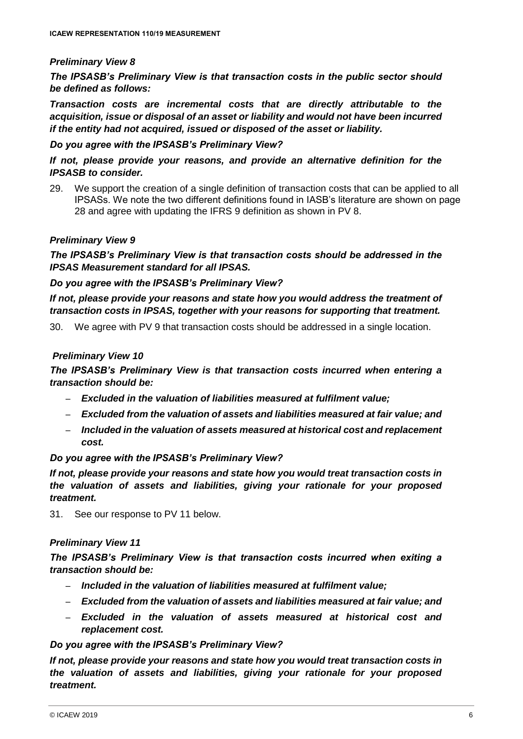## *Preliminary View 8*

*The IPSASB's Preliminary View is that transaction costs in the public sector should be defined as follows:*

*Transaction costs are incremental costs that are directly attributable to the acquisition, issue or disposal of an asset or liability and would not have been incurred if the entity had not acquired, issued or disposed of the asset or liability.*

#### *Do you agree with the IPSASB's Preliminary View?*

*If not, please provide your reasons, and provide an alternative definition for the IPSASB to consider.*

29. We support the creation of a single definition of transaction costs that can be applied to all IPSASs. We note the two different definitions found in IASB's literature are shown on page 28 and agree with updating the IFRS 9 definition as shown in PV 8.

## *Preliminary View 9*

*The IPSASB's Preliminary View is that transaction costs should be addressed in the IPSAS Measurement standard for all IPSAS.*

#### *Do you agree with the IPSASB's Preliminary View?*

*If not, please provide your reasons and state how you would address the treatment of transaction costs in IPSAS, together with your reasons for supporting that treatment.*

30. We agree with PV 9 that transaction costs should be addressed in a single location.

## *Preliminary View 10*

*The IPSASB's Preliminary View is that transaction costs incurred when entering a transaction should be:*

- *Excluded in the valuation of liabilities measured at fulfilment value;*
- *Excluded from the valuation of assets and liabilities measured at fair value; and*
- *Included in the valuation of assets measured at historical cost and replacement cost.*

## *Do you agree with the IPSASB's Preliminary View?*

*If not, please provide your reasons and state how you would treat transaction costs in the valuation of assets and liabilities, giving your rationale for your proposed treatment.*

31. See our response to PV 11 below.

## *Preliminary View 11*

*The IPSASB's Preliminary View is that transaction costs incurred when exiting a transaction should be:*

- *Included in the valuation of liabilities measured at fulfilment value;*
- *Excluded from the valuation of assets and liabilities measured at fair value; and*
- *Excluded in the valuation of assets measured at historical cost and replacement cost.*

#### *Do you agree with the IPSASB's Preliminary View?*

*If not, please provide your reasons and state how you would treat transaction costs in the valuation of assets and liabilities, giving your rationale for your proposed treatment.*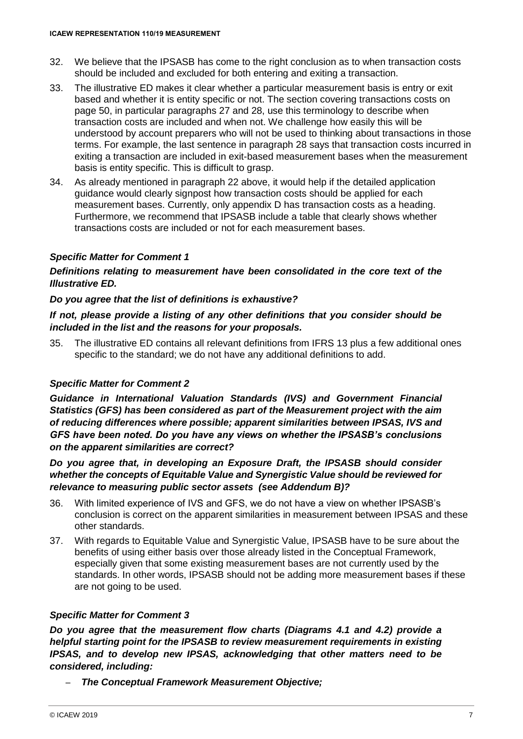- 32. We believe that the IPSASB has come to the right conclusion as to when transaction costs should be included and excluded for both entering and exiting a transaction.
- 33. The illustrative ED makes it clear whether a particular measurement basis is entry or exit based and whether it is entity specific or not. The section covering transactions costs on page 50, in particular paragraphs 27 and 28, use this terminology to describe when transaction costs are included and when not. We challenge how easily this will be understood by account preparers who will not be used to thinking about transactions in those terms. For example, the last sentence in paragraph 28 says that transaction costs incurred in exiting a transaction are included in exit-based measurement bases when the measurement basis is entity specific. This is difficult to grasp.
- 34. As already mentioned in paragraph 22 above, it would help if the detailed application guidance would clearly signpost how transaction costs should be applied for each measurement bases. Currently, only appendix D has transaction costs as a heading. Furthermore, we recommend that IPSASB include a table that clearly shows whether transactions costs are included or not for each measurement bases.

# *Specific Matter for Comment 1*

## *Definitions relating to measurement have been consolidated in the core text of the Illustrative ED.*

## *Do you agree that the list of definitions is exhaustive?*

## *If not, please provide a listing of any other definitions that you consider should be included in the list and the reasons for your proposals.*

35. The illustrative ED contains all relevant definitions from IFRS 13 plus a few additional ones specific to the standard; we do not have any additional definitions to add.

## *Specific Matter for Comment 2*

*Guidance in International Valuation Standards (IVS) and Government Financial Statistics (GFS) has been considered as part of the Measurement project with the aim of reducing differences where possible; apparent similarities between IPSAS, IVS and GFS have been noted. Do you have any views on whether the IPSASB's conclusions on the apparent similarities are correct?*

*Do you agree that, in developing an Exposure Draft, the IPSASB should consider whether the concepts of Equitable Value and Synergistic Value should be reviewed for relevance to measuring public sector assets (see Addendum B)?* 

- 36. With limited experience of IVS and GFS, we do not have a view on whether IPSASB's conclusion is correct on the apparent similarities in measurement between IPSAS and these other standards.
- 37. With regards to Equitable Value and Synergistic Value, IPSASB have to be sure about the benefits of using either basis over those already listed in the Conceptual Framework, especially given that some existing measurement bases are not currently used by the standards. In other words, IPSASB should not be adding more measurement bases if these are not going to be used.

## *Specific Matter for Comment 3*

*Do you agree that the measurement flow charts (Diagrams 4.1 and 4.2) provide a helpful starting point for the IPSASB to review measurement requirements in existing IPSAS, and to develop new IPSAS, acknowledging that other matters need to be considered, including:*

– *The Conceptual Framework Measurement Objective;*